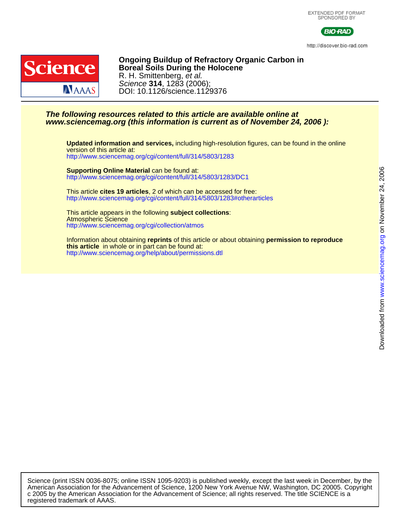



http://discover.bio-rad.com



DOI: 10.1126/science.1129376 Science **314**, 1283 (2006); R. H. Smittenberg, et al. **Boreal Soils During the Holocene Ongoing Buildup of Refractory Organic Carbon in**

## **www.sciencemag.org (this information is current as of November 24, 2006 ): The following resources related to this article are available online at**

<http://www.sciencemag.org/cgi/content/full/314/5803/1283> version of this article at: **Updated information and services,** including high-resolution figures, can be found in the online

<http://www.sciencemag.org/cgi/content/full/314/5803/1283/DC1> **Supporting Online Material** can be found at:

<http://www.sciencemag.org/cgi/content/full/314/5803/1283#otherarticles> This article **cites 19 articles**, 2 of which can be accessed for free:

<http://www.sciencemag.org/cgi/collection/atmos> Atmospheric Science This article appears in the following **subject collections**:

[http://www.sciencemag.org/help/about/permissions.dtl](http://www.sciencemag.org/misc/reprints.shtml) **this article** in whole or in part can be found at: Information about obtaining **reprints** of this article or about obtaining **permission to reproduce**

registered trademark of AAAS. c 2005 by the American Association for the Advancement of Science; all rights reserved. The title SCIENCE is a American Association for the Advancement of Science, 1200 New York Avenue NW, Washington, DC 20005. Copyright Science (print ISSN 0036-8075; online ISSN 1095-9203) is published weekly, except the last week in December, by the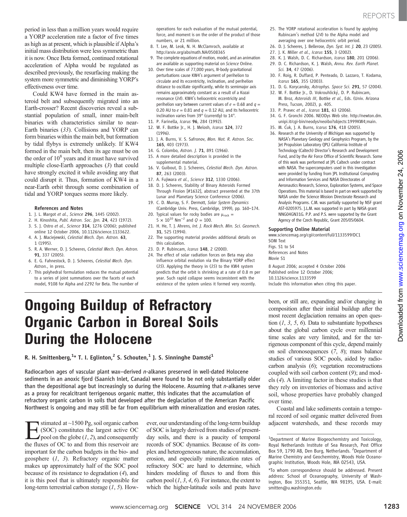period in less than a million years would require a YORP acceleration rate a factor of five times as high as at present, which is plausible if Alpha's initial mass distribution were less symmetric than it is now. Once Beta formed, continued rotational acceleration of Alpha would be regulated as described previously, the resurfacing making the system more symmetric and diminishing YORP's effectiveness over time.

Could KW4 have formed in the main asteroid belt and subsequently migrated into an Earth-crosser? Recent discoveries reveal a substantial population of small, inner main-belt binaries with characteristics similar to near-Earth binaries (33). Collisions and YORP can form binaries within the main belt, but formation by tidal flybys is extremely unlikely. If KW4 formed in the main belt, then its age must be on the order of  $10<sup>8</sup>$  years and it must have survived multiple close-Earth approaches (3) that could have strongly excited it while avoiding any that could disrupt it. Thus, formation of KW4 in a near-Earth orbit through some combination of tidal and YORP torques seems more likely.

#### References and Notes

- 1. J. L. Margot et al., Science 296, 1445 (2002).
- 2. H. Kinoshita, Publ. Astron. Soc. Jpn. 24, 423 (1972).
- 3. S. J. Ostro et al., Science 314, 1276 (2006); published online 12 October 2006, 10.1126/science.1133622.
- 4. A. J. Maciejewski, Celestial Mech. Dyn. Astron. 63, 1 (1995).
- 5. R. A. Werner, D. J. Scheeres, Celestial Mech. Dyn. Astron. 91, 337 (2005).
- 6. E. G. Fahnestock, D. J. Scheeres, Celestial Mech. Dyn. Astron., in press.
- 7. This polyhedral formulation reduces the mutual potential to a series of joint summations over the facets of each model, 9108 for Alpha and 2292 for Beta. The number of

operations for each evaluation of the mutual potential, force, and moment is on the order of the product of those numbers, or 21 million.

- 8. T. Lee, M. Leok, N. H. McClamroch, available at http://arxiv.org/abs/math.NA/0508365.
- The complete equations of motion, model, and an animation are available as supporting material on Science Online.
- 10. Over time scales of 77,000 years, N-body gravitational perturbations cause KW4's argument of perihelion to circulate and its eccentricity, inclination, and perihelion distance to oscillate significantly, while its semimajor axis remains approximately constant as a result of a Kozai resonance (34). KW4's heliocentric eccentricity and perihelion vary between current values of  $e = 0.68$  and  $q =$ 0.20 AU to  $e = 0.81$  and  $q = 0.12$  AU, and its heliocentric inclination varies from 39° (currently) to 14°.
- 11. P. Farinella, Icarus 96, 284 (1992).
- 12. W. F. Bottke Jr., H. J. Melosh, Icarus 124, 372 (1996).
- 13. J. A. Burns, V. S. Safronov, Mon. Not. R. Astron. Soc. 165, 403 (1973).
- 14. G. Colombo, Astron. J. 71, 891 (1966).
- 15. A more detailed description is provided in the
- supplemental material. 16. V. Guibout, D. J. Scheeres, Celestial Mech. Dyn. Astron. 87, 263 (2003).
- 17. A. Fujiwara et al., Science 312, 1330 (2006).
- 18. D. J. Scheeres, Stability of Binary Asteroids Formed Through Fission [#1632], abstract presented at the 37th Lunar and Planetary Science Conference (2006).
- 19. C. D. Murray, S. F. Dermott, Solar System Dynamics (Cambridge Univ. Press, Cambridge, 1999), pp. 160–174.
- 20. Typical values for rocky bodies are  $\mu_{rock} =$  $5 \times 10^{10}$  Nm<sup>-2</sup> and  $Q = 100$ .
- 21. H. He, T. J. Ahrens, Int. J. Rock Mech. Min. Sci. Geomech. 31, 525 (1994).
- 22. The supporting material provides additional details on this calculation.
- 23. D. P. Rubincam, Icarus 148, 2 (2000).
- 24. The effect of solar radiation forces on Beta may also influence orbital evolution via the Binary YORP effect (35). Applying the theory in (35) to the KW4 system predicts that the orbit is shrinking at a rate of 0.8 m per year. Such rapid collapse seems inconsistent with the existence of the system unless it formed very recently.
- 25. The YORP rotational acceleration is found by applying Rubincam's method (24) to the Alpha model and averaging over one heliocentric orbit period.
- 26. D. J. Scheeres, J. Bellerose, *Dyn. Syst. Int. J.* 20, 23 (2005).
- 27. I. K. Miller et al., Icarus 155, 3 (2002).
- 28. K. J. Walsh, D. C. Richardson, Icarus 180, 201 (2006). 29. D. C. Richardson, K. J. Walsh, Annu. Rev. Earth Planet. Sci. 34, 47 (2006).
- 30. F. Roig, R. Duffard, P. Penteado, D. Lazzaro, T. Kodama, Icarus 165, 355 (2003).
- 31. D. G. Korycansky, Astrophys. Space Sci. 291, 57 (2004).
- 32. W. F. Bottke Jr., D. Vokrouhlický, D. P. Rubincam,
- M. Broz, Asteroids III, Bottke et al., Eds. (Univ. Arizona Press, Tucson, 2002), p. 405.
- 33. P. Pravec et al., Icarus 181, 63 (2006).
- 34. G. F. Gronchi 2006. NEODys Web site. http://newton.dm. unipi.it/cgi-bin/neodys/neoibo?objects:1999KW4;main.
- 35. M. Ćuk, J. A. Burns, Icarus 176, 418 (2005).
- 36. Research at the University of Michigan was supported by NASA's Planetary Geology and Geophysics Program, by the Jet Propulsion Laboratory (JPL) California Institute of Technology (Caltech) Director's Research and Development Fund, and by the Air Force Office of Scientific Research. Some of this work was performed at JPL Caltech under contract with NASA. The supercomputers used in this investigation were provided by funding from JPL Institutional Computing and Information Services and NASA Directorates of Aeronautics Research, Science, Exploration Systems, and Space Operations. This material is based in part on work supported by NASA under the Science Mission Directorate Research and Analysis Programs. C.M. was partially supported by NSF grant AST-0205975. J.L.M. was supported in part by NASA grant NNG04GN31G. P.P. and P.S. were supported by the Grant Agency of the Czech Republic, Grant 205/05/0604.

### Supporting Online Material

www.sciencemag.org/cgi/content/full/1133599/DC1 SOM Text Figs. S1 to S4 References and Notes Movie S1

8 August 2006; accepted 4 October 2006 Published online 12 October 2006; 10.1126/science.1133599 Include this information when citing this paper.

## Ongoing Buildup of Refractory Organic Carbon in Boreal Soils During the Holocene

R. H. Smittenberg, $^{1*}$  T. I. Eglinton, $^2$  S. Schouten, $^1$  J. S. Sinninghe Damsté $^1$ 

Radiocarbon ages of vascular plant wax–derived n-alkanes preserved in well-dated Holocene sediments in an anoxic fjord (Saanich Inlet, Canada) were found to be not only substantially older than the depositional age but increasingly so during the Holocene. Assuming that  $n$ -alkanes serve as a proxy for recalcitrant terrigenous organic matter, this indicates that the accumulation of refractory organic carbon in soils that developed after the deglaciation of the American Pacific Northwest is ongoing and may still be far from equilibrium with mineralization and erosion rates.

**Example 3** stimated at ~1500 Pg, soil organic carbon<br>(SOC) constitutes the largest active OC<br>pool on the globe (1, 2), and consequently<br>the fluxes of OC to and from this reservoir are (SOC) constitutes the largest active OC  $\blacktriangle$ pool on the globe (1, 2), and consequently the fluxes of OC to and from this reservoir are important for the carbon budgets in the bio- and geosphere (1, 3). Refractory organic matter makes up approximately half of the SOC pool because of its resistance to degradation (4), and it is this pool that is ultimately responsible for long-term terrestrial carbon storage  $(1, 5)$ . How-

ever, our understanding of the long-term buildup of SOC is largely derived from studies of presentday soils, and there is a paucity of temporal records of SOC dynamics. Because of its complex and heterogeneous nature, the accumulation, erosion, and especially mineralization rates of refractory SOC are hard to determine, which hinders modeling of fluxes to and from this carbon pool  $(1, 3, 4, 6)$ . For instance, the extent to which the higher-latitude soils and peats have

been, or still are, expanding and/or changing in composition after their initial buildup after the most recent deglaciation remains an open question  $(1, 3, 5, 6)$ . Data to substantiate hypotheses about the global carbon cycle over millennial time scales are very limited, and for the terrigenous component of this cycle, depend mainly on soil chronosequences (7, 8); mass balance studies of various SOC pools, aided by radiocarbon analysis (6); vegetation reconstructions coupled with soil carbon content (9); and models (4). A limiting factor in these studies is that they rely on inventories of biomass and active soil, whose properties have probably changed over time.

Coastal and lake sediments contain a temporal record of soil organic matter delivered from adjacent watersheds, and these records may

<sup>&</sup>lt;sup>1</sup>Department of Marine Biogeochemistry and Toxicology, Royal Netherlands Institute of Sea Research, Post Office Box 59, 1790 AB, Den Burg, Netherlands. <sup>2</sup>Department of Marine Chemistry and Geochemistry, Woods Hole Oceanographic Institution, Woods Hole, MA 02543, USA.

<sup>\*</sup>To whom correspondence should be addressed. Present address: School of Oceanography, University of Washington, Box 355351, Seattle, WA 98195, USA. E-mail: smitten@u.washington.edu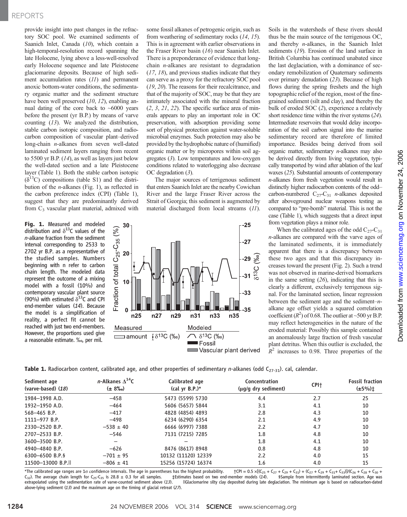## REPORTS

provide insight into past changes in the refractory SOC pool. We examined sediments of Saanich Inlet, Canada (10), which contain a high-temporal-resolution record spanning the late Holocene, lying above a less-well-resolved early Holocene sequence and late Pleistocene glaciomarine deposits. Because of high sediment accumulation rates (11) and permanent anoxic bottom-water conditions, the sedimentary organic matter and the sediment structure have been well preserved (10, 12), enabling annual dating of the core back to  $~6000$  years before the present (yr B.P.) by means of varve counting (13). We analyzed the distribution, stable carbon isotopic composition, and radiocarbon composition of vascular plant–derived long-chain *n*-alkanes from seven well-dated laminated sediment layers ranging from recent to 5500 yr B.P. (14), as well as layers just below the well-dated section and a late Pleistocene layer (Table 1). Both the stable carbon isotopic  $(\delta^{13}C)$  compositions (table S1) and the distribution of the  $n$ -alkanes (Fig. 1), as reflected in the carbon preference index (CPI) (Table 1), suggest that they are predominantly derived from  $C_3$  vascular plant material, admixed with

**Fig. 1.** Measured and modeled distribution and  $\delta^{13}$ C values of the n-alkane fraction from the sediment interval corresponding to 2533 to 2702 yr B.P. as a representative of the studied samples. Numbers beginning with n refer to carbon chain length. The modeled data represent the outcome of a mixing model with a fossil (10%) and contemporary vascular plant source (90%) with estimated  $\delta^{13}$ C and CPI end-member values (14). Because the model is a simplification of reality, a perfect fit cannot be reached with just two end-members. However, the proportions used give a reasonable estimate. ‰, per mil.

some fossil alkanes of petrogenic origin, such as from weathering of sedimentary rocks (14, 15). This is in agreement with earlier observations in the Fraser River basin (16) near Saanich Inlet. There is a preponderance of evidence that longchain  $n$ -alkanes are resistant to degradation (17, 18), and previous studies indicate that they can serve as a proxy for the refractory SOC pool (19, 20). The reasons for their recalcitrance, and that of the majority of SOC, may be that they are intimately associated with the mineral fraction  $(2, 3, 21, 22)$ . The specific surface area of minerals appears to play an important role in OC preservation, with adsorption providing some sort of physical protection against water-soluble microbial enzymes. Such protection may also be provided by the hydrophobic nature of (humified) organic matter or by micropores within soil aggregates (3). Low temperatures and low-oxygen conditions related to waterlogging also decrease OC degradation (3).

The major sources of terrigenous sediment that enters Saanich Inlet are the nearby Cowichan River and the large Fraser River across the Strait of Georgia; this sediment is augmented by material discharged from local streams (11).



Soils in the watersheds of these rivers should thus be the main source of the terrigenous OC, and thereby n-alkanes, in the Saanich Inlet sediments (19). Erosion of the land surface in British Columbia has continued unabated since the last deglaciation, with a dominance of secondary remobilization of Quaternary sediments over primary denudation (23). Because of high flows during the spring freshets and the high topographic relief of the region, most of the finegrained sediment (silt and clay), and thereby the bulk of eroded SOC (2), experience a relatively short residence time within the river systems (24). Intermediate reservoirs that would delay incorporation of the soil carbon signal into the marine sedimentary record are therefore of limited importance. Besides being derived from soil organic matter, sedimentary n-alkanes may also be derived directly from living vegetation, typically transported by wind after ablation of the leaf waxes (25). Substantial amounts of contemporary n-alkanes from fresh vegetation would result in distinctly higher radiocarbon contents of the odd– carbon-numbered  $C_{27}-C_{31}$  *n*-alkanes deposited after aboveground nuclear weapons testing as compared to "pre-bomb" material. This is not the case (Table 1), which suggests that a direct input from vegetation plays a minor role.

When the calibrated ages of the odd  $C_{27}-C_{31}$ n-alkanes are compared with the varve ages of the laminated sediments, it is immediately apparent that there is a discrepancy between these two ages and that this discrepancy increases toward the present (Fig. 2). Such a trend was not observed in marine-derived biomarkers in the same setting  $(26)$ , indicating that this is clearly a different, exclusively terrigenous signal. For the laminated section, linear regression between the sediment age and the sediment–nalkane age offset yields a squared correlation coefficient  $(R^2)$  of 0.68. The outlier at ~500 yr B.P. may reflect heterogeneities in the nature of the eroded material: Possibly this sample contained an anomalously large fraction of fresh vascular plant detritus. When this outlier is excluded, the  $R^2$  increases to 0.98. Three properties of the

Table 1. Radiocarbon content, calibrated age, and other properties of sedimentary n-alkanes (odd C<sub>27-31</sub>). cal, calendar.

| Sediment age<br>(varve-based) $(18)$ | <i>n</i> -Alkanes $\Delta^{14}$ C<br>$(\pm 8\%)$ | Calibrated age<br>(cal yr B.P.) $*$ | Concentration<br>(μg/g dry sediment) | CPI <sup>+</sup> | <b>Fossil fraction</b><br>$(\pm 5\%)\ddagger$ |
|--------------------------------------|--------------------------------------------------|-------------------------------------|--------------------------------------|------------------|-----------------------------------------------|
| 1984-1998 A.D.                       | $-458$                                           | 5473 (5599) 5730                    | 4.4                                  | 2.7              | 25                                            |
| 1932-1950 A.D.                       | $-464$                                           | 5606 (5657) 5844                    | 3.1                                  | 4.1              | 10                                            |
| $568 - 465 B.P.$                     | $-417$                                           | 4828 (4854) 4893                    | 2.8                                  | 4.3              | 10                                            |
| 1111-977 B.P.                        | $-498$                                           | 6234 (6290) 6354                    | 2.1                                  | 4.9              | 10                                            |
| 2330-2520 B.P.                       | $-538 \pm 40$                                    | 6666 (6997) 7388                    | 2.2                                  | 4.7              | 10                                            |
| 2707-2533 B.P.                       | $-546$                                           | 7131 (7215) 7285                    | 1.8                                  | 4.8              | 10                                            |
| 3600-3500 B.P.                       |                                                  |                                     | 1.8                                  | 4.1              | 10                                            |
| 4940-4840 B.P.                       | $-626$                                           | 8476 (8617) 8948                    | 0.8                                  | 4.8              | 10                                            |
| 6300-6500 B.P.                       | $-701 \pm 95$                                    | 10132 (11120) 12339                 | 2.2                                  | 4.0              | 15                                            |
| 11500-13000 B.P.II                   | $-806 \pm 41$                                    | 15256 (15724) 16374                 | 1.6                                  | 4.0              | 15                                            |

\*The calibrated age ranges are 1s confidence intervals. The age in parentheses has the highest probability.  $\uparrow$ CPI = 0.5 ×[(C<sub>25</sub> + C<sub>27</sub> + C<sub>27</sub> + C<sub>23</sub>) + (C<sub>27</sub> + C<sub>29</sub> + C<sub>33</sub>)*J*/(C<sub>26</sub> + C<sub>28</sub> + C<sub>38</sub>)  $\downarrow$  C<sub>26</sub>  $C_{32}$ ). The average chain length for  $C_{25}$ -C<sub>35</sub> is 28.8  $\pm$  0.3 for all samples.  $\pm$  extrapolated using the sedimentation rate of varve-counted sediment above (13). llGlaciomarine silty clay deposited during late deglaciation. The minimum age is based on radiocarbon-dated above-lying sediment (13) and the maximum age on the timing of glacial retreat (27).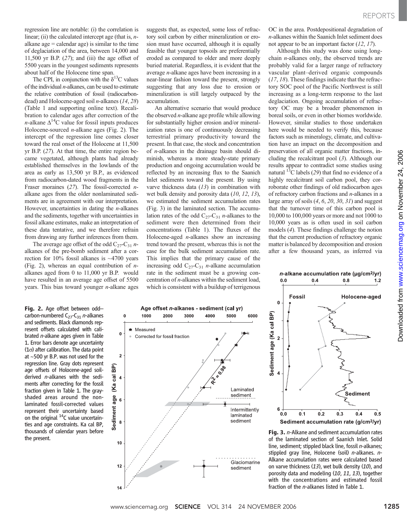regression line are notable: (i) the correlation is linear; (ii) the calculated intercept age (that is,  $n$ alkane  $\text{age} = \text{calendar age}$ ) is similar to the time of deglaciation of the area, between 14,000 and 11,500 yr B.P.  $(27)$ ; and (iii) the age offset of 5500 years in the youngest sediments represents about half of the Holocene time span.

The CPI, in conjunction with the  $\delta^{13}$ C values of the individual  $n$ -alkanes, can be used to estimate the relative contribution of fossil (radiocarbondead) and Holocene-aged soil n-alkanes (14, 28) (Table 1 and supporting online text). Recalibration to calendar ages after correction of the *n*-alkane  $\Delta^{14}$ C value for fossil inputs produces Holocene-sourced  $n$ -alkane ages (Fig. 2). The intercept of the regression line comes closer toward the real onset of the Holocene at 11,500 yr B.P. (27). At that time, the entire region became vegetated, although plants had already established themselves in the lowlands of the area as early as 13,500 yr B.P., as evidenced from radiocarbon-dated wood fragments in the Fraser moraines (27). The fossil-corrected nalkane ages from the older nonlaminated sediments are in agreement with our interpretation. However, uncertainties in dating the  $n$ -alkanes and the sediments, together with uncertainties in fossil alkane estimates, make an interpretation of these data tentative, and we therefore refrain from drawing any further inferences from them.

The average age offset of the odd  $C_{27}-C_{31}$  nalkanes of the pre-bomb sediment after a correction for 10% fossil alkanes is ~4700 years (Fig. 2), whereas an equal contribution of  $n$ alkanes aged from 0 to 11,000 yr B.P. would have resulted in an average age offset of 5500 years. This bias toward younger  $n$ -alkane ages

 $\mathbf{0}$ 

 $\mathbf{0}$ 

 $\overline{2}$ 

BP)

cal  $\overline{\mathbf{4}}$ (Ka

age 6

Sediment

8

 $10$ 

 $12$ 

Ŵ. Measured

1000

2000

Corrected for fossil fraction

3000

Fig. 2. Age offset between odd– carbon-numbered  $C_{27}$ - $C_{31}$  n-alkanes and sediments. Black diamonds represent offsets calculated with calibrated n-alkane ages given in Table 1. Error bars denote age uncertainty  $(1\sigma)$  after calibration. The data point at ~500 yr B.P. was not used for the regression line. Gray dots represent age offsets of Holocene-aged soilderived n-alkanes with the sediments after correcting for the fossil fraction given in Table 1. The grayshaded areas around the nonlaminated fossil-corrected values represent their uncertainty based on the original <sup>14</sup>C value uncertainties and age constraints. Ka cal BP, thousands of calendar years before the present.

suggests that, as expected, some loss of refractory soil carbon by either mineralization or erosion must have occurred, although it is equally feasible that younger topsoils are preferentially eroded as compared to older and more deeply buried material. Regardless, it is evident that the average n-alkane ages have been increasing in a near-linear fashion toward the present, strongly suggesting that any loss due to erosion or mineralization is still largely outpaced by the accumulation.

An alternative scenario that would produce the observed  $n$ -alkane age profile while allowing for substantially higher erosion and/or mineralization rates is one of continuously decreasing terrestrial primary productivity toward the present. In that case, the stock and concentration of n-alkanes in the drainage basin should diminish, whereas a more steady-state primary production and ongoing accumulation would be reflected by an increasing flux to the Saanich Inlet sediments toward the present. By using varve thickness data  $(13)$  in combination with wet bulk density and porosity data (10, 12, 13), we estimated the sediment accumulation rates (Fig. 3) in the laminated section. The accumulation rates of the odd  $C_{27}-C_{31}$  *n*-alkanes to the sediment were then determined from their concentrations (Table 1). The fluxes of the Holocene-aged  $n$ -alkanes show an increasing trend toward the present, whereas this is not the case for the bulk sediment accumulation rate. This implies that the primary cause of the increasing odd  $C_{27}-C_{31}$  *n*-alkane accumulation rate in the sediment must be a growing concentration of  $n$ -alkanes within the sediment load, which is consistent with a buildup of terrigenous OC in the area. Postdepositional degradation of n-alkanes within the Saanich Inlet sediment does not appear to be an important factor (12, 17).

Although this study was done using longchain  $n$ -alkanes only, the observed trends are probably valid for a larger range of refractory vascular plant–derived organic compounds  $(17, 18)$ . These findings indicate that the refractory SOC pool of the Pacific Northwest is still increasing as a long-term response to the last deglaciation. Ongoing accumulation of refractory OC may be a broader phenomenon in boreal soils, or even in other biomes worldwide. However, similar studies to those undertaken here would be needed to verify this, because factors such as mineralogy, climate, and cultivation have an impact on the decomposition and preservation of all organic matter fractions, including the recalcitrant pool (3). Although our results appear to contradict some studies using natural  $^{13}$ C labels (29) that find no evidence of a highly recalcitrant soil carbon pool, they corroborate other findings of old radiocarbon ages of refractory carbon fractions and  $n$ -alkanes in a large array of soils  $(4, 6, 20, 30, 31)$  and suggest that the turnover time of this carbon pool is 10,000 to 100,000 years or more and not 1000 to 10,000 years as is often used in soil carbon models (4). These findings challenge the notion that the current production of refractory organic matter is balanced by decomposition and erosion after a few thousand years, as inferred via



6

 $0.0$ 

Intermittently

Glaciomarine

sediment

laminated sediment

 $n$ -alkane accumulation rate ( $\mu$ g/cm<sup>2</sup>/yr)  $0.0$ 



Fig. 3. n-Alkane and sediment accumulation rates of the laminated section of Saanich Inlet. Solid line, sediment; stippled black line, fossil n-alkanes; stippled gray line, Holocene (soil) n-alkanes. n-Alkane accumulation rates were calculated based on varve thickness (13), wet bulk density (10), and porosity data and modeling (10, 11, 13), together with the concentrations and estimated fossil fraction of the n-alkanes listed in Table 1.